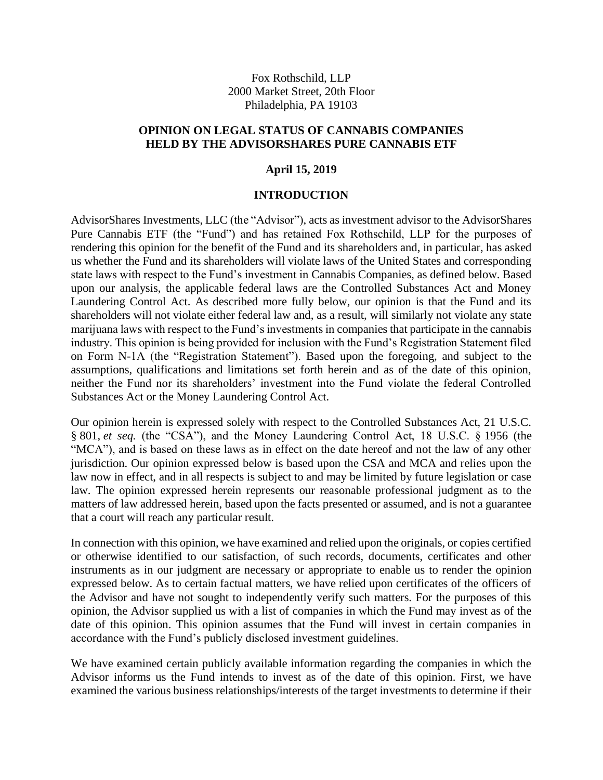Fox Rothschild, LLP 2000 Market Street, 20th Floor Philadelphia, PA 19103

### **OPINION ON LEGAL STATUS OF CANNABIS COMPANIES HELD BY THE ADVISORSHARES PURE CANNABIS ETF**

### **April 15, 2019**

#### **INTRODUCTION**

AdvisorShares Investments, LLC (the "Advisor"), acts as investment advisor to the AdvisorShares Pure Cannabis ETF (the "Fund") and has retained Fox Rothschild, LLP for the purposes of rendering this opinion for the benefit of the Fund and its shareholders and, in particular, has asked us whether the Fund and its shareholders will violate laws of the United States and corresponding state laws with respect to the Fund's investment in Cannabis Companies, as defined below. Based upon our analysis, the applicable federal laws are the Controlled Substances Act and Money Laundering Control Act. As described more fully below, our opinion is that the Fund and its shareholders will not violate either federal law and, as a result, will similarly not violate any state marijuana laws with respect to the Fund's investments in companies that participate in the cannabis industry. This opinion is being provided for inclusion with the Fund's Registration Statement filed on Form N-1A (the "Registration Statement"). Based upon the foregoing, and subject to the assumptions, qualifications and limitations set forth herein and as of the date of this opinion, neither the Fund nor its shareholders' investment into the Fund violate the federal Controlled Substances Act or the Money Laundering Control Act.

Our opinion herein is expressed solely with respect to the Controlled Substances Act, 21 U.S.C. § 801, *et seq.* (the "CSA"), and the Money Laundering Control Act, 18 U.S.C. § 1956 (the "MCA"), and is based on these laws as in effect on the date hereof and not the law of any other jurisdiction. Our opinion expressed below is based upon the CSA and MCA and relies upon the law now in effect, and in all respects is subject to and may be limited by future legislation or case law. The opinion expressed herein represents our reasonable professional judgment as to the matters of law addressed herein, based upon the facts presented or assumed, and is not a guarantee that a court will reach any particular result.

In connection with this opinion, we have examined and relied upon the originals, or copies certified or otherwise identified to our satisfaction, of such records, documents, certificates and other instruments as in our judgment are necessary or appropriate to enable us to render the opinion expressed below. As to certain factual matters, we have relied upon certificates of the officers of the Advisor and have not sought to independently verify such matters. For the purposes of this opinion, the Advisor supplied us with a list of companies in which the Fund may invest as of the date of this opinion. This opinion assumes that the Fund will invest in certain companies in accordance with the Fund's publicly disclosed investment guidelines.

We have examined certain publicly available information regarding the companies in which the Advisor informs us the Fund intends to invest as of the date of this opinion. First, we have examined the various business relationships/interests of the target investments to determine if their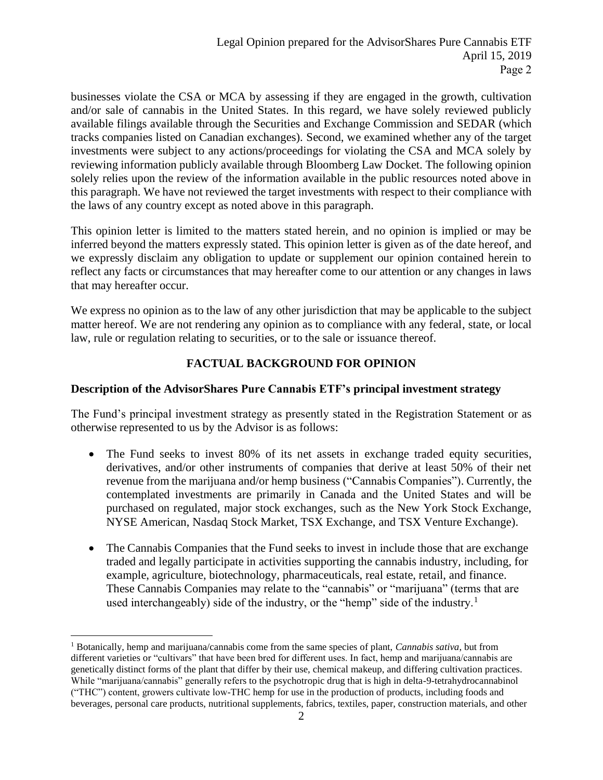businesses violate the CSA or MCA by assessing if they are engaged in the growth, cultivation and/or sale of cannabis in the United States. In this regard, we have solely reviewed publicly available filings available through the Securities and Exchange Commission and SEDAR (which tracks companies listed on Canadian exchanges). Second, we examined whether any of the target investments were subject to any actions/proceedings for violating the CSA and MCA solely by reviewing information publicly available through Bloomberg Law Docket. The following opinion solely relies upon the review of the information available in the public resources noted above in this paragraph. We have not reviewed the target investments with respect to their compliance with the laws of any country except as noted above in this paragraph.

This opinion letter is limited to the matters stated herein, and no opinion is implied or may be inferred beyond the matters expressly stated. This opinion letter is given as of the date hereof, and we expressly disclaim any obligation to update or supplement our opinion contained herein to reflect any facts or circumstances that may hereafter come to our attention or any changes in laws that may hereafter occur.

We express no opinion as to the law of any other jurisdiction that may be applicable to the subject matter hereof. We are not rendering any opinion as to compliance with any federal, state, or local law, rule or regulation relating to securities, or to the sale or issuance thereof.

# **FACTUAL BACKGROUND FOR OPINION**

### **Description of the AdvisorShares Pure Cannabis ETF's principal investment strategy**

The Fund's principal investment strategy as presently stated in the Registration Statement or as otherwise represented to us by the Advisor is as follows:

- The Fund seeks to invest 80% of its net assets in exchange traded equity securities, derivatives, and/or other instruments of companies that derive at least 50% of their net revenue from the marijuana and/or hemp business ("Cannabis Companies"). Currently, the contemplated investments are primarily in Canada and the United States and will be purchased on regulated, major stock exchanges, such as the New York Stock Exchange, NYSE American, Nasdaq Stock Market, TSX Exchange, and TSX Venture Exchange).
- The Cannabis Companies that the Fund seeks to invest in include those that are exchange traded and legally participate in activities supporting the cannabis industry, including, for example, agriculture, biotechnology, pharmaceuticals, real estate, retail, and finance. These Cannabis Companies may relate to the "cannabis" or "marijuana" (terms that are used interchangeably) side of the industry, or the "hemp" side of the industry.<sup>1</sup>

<sup>1</sup> Botanically, hemp and marijuana/cannabis come from the same species of plant, *Cannabis sativa*, but from different varieties or "cultivars" that have been bred for different uses. In fact, hemp and marijuana/cannabis are genetically distinct forms of the plant that differ by their use, chemical makeup, and differing cultivation practices. While "marijuana/cannabis" generally refers to the psychotropic drug that is high in delta-9-tetrahydrocannabinol ("THC") content, growers cultivate low-THC hemp for use in the production of products, including foods and beverages, personal care products, nutritional supplements, fabrics, textiles, paper, construction materials, and other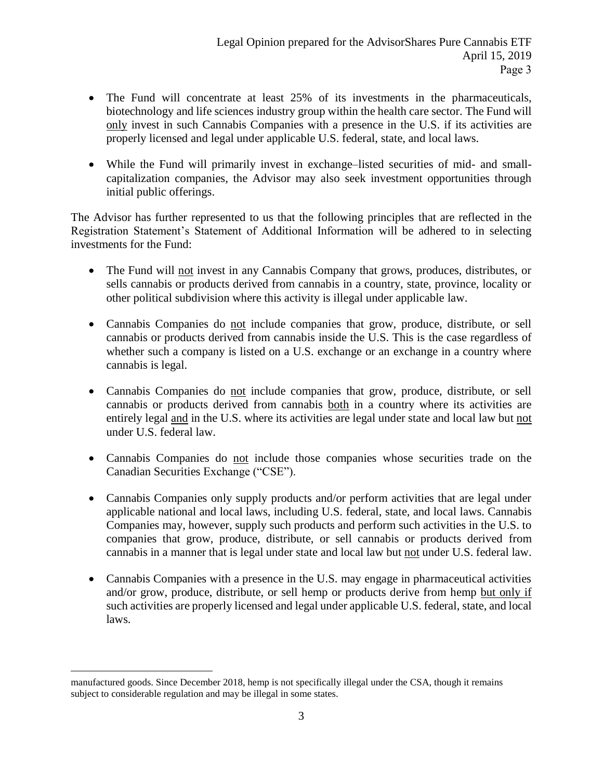- The Fund will concentrate at least 25% of its investments in the pharmaceuticals, biotechnology and life sciences industry group within the health care sector. The Fund will only invest in such Cannabis Companies with a presence in the U.S. if its activities are properly licensed and legal under applicable U.S. federal, state, and local laws.
- While the Fund will primarily invest in exchange–listed securities of mid- and smallcapitalization companies, the Advisor may also seek investment opportunities through initial public offerings.

The Advisor has further represented to us that the following principles that are reflected in the Registration Statement's Statement of Additional Information will be adhered to in selecting investments for the Fund:

- The Fund will not invest in any Cannabis Company that grows, produces, distributes, or sells cannabis or products derived from cannabis in a country, state, province, locality or other political subdivision where this activity is illegal under applicable law.
- Cannabis Companies do not include companies that grow, produce, distribute, or sell cannabis or products derived from cannabis inside the U.S. This is the case regardless of whether such a company is listed on a U.S. exchange or an exchange in a country where cannabis is legal.
- Cannabis Companies do not include companies that grow, produce, distribute, or sell cannabis or products derived from cannabis both in a country where its activities are entirely legal and in the U.S. where its activities are legal under state and local law but not under U.S. federal law.
- Cannabis Companies do not include those companies whose securities trade on the Canadian Securities Exchange ("CSE").
- Cannabis Companies only supply products and/or perform activities that are legal under applicable national and local laws, including U.S. federal, state, and local laws. Cannabis Companies may, however, supply such products and perform such activities in the U.S. to companies that grow, produce, distribute, or sell cannabis or products derived from cannabis in a manner that is legal under state and local law but not under U.S. federal law.
- Cannabis Companies with a presence in the U.S. may engage in pharmaceutical activities and/or grow, produce, distribute, or sell hemp or products derive from hemp but only if such activities are properly licensed and legal under applicable U.S. federal, state, and local laws.

manufactured goods. Since December 2018, hemp is not specifically illegal under the CSA, though it remains subject to considerable regulation and may be illegal in some states.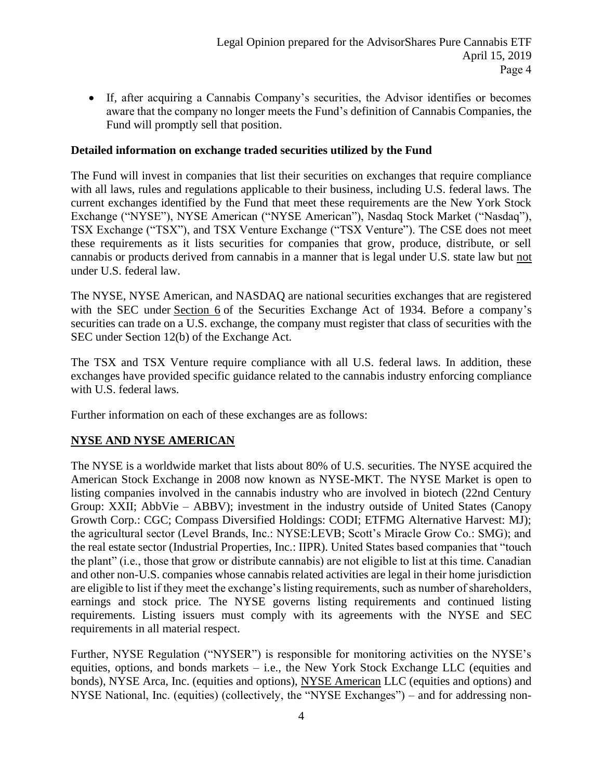If, after acquiring a Cannabis Company's securities, the Advisor identifies or becomes aware that the company no longer meets the Fund's definition of Cannabis Companies, the Fund will promptly sell that position.

### **Detailed information on exchange traded securities utilized by the Fund**

The Fund will invest in companies that list their securities on exchanges that require compliance with all laws, rules and regulations applicable to their business, including U.S. federal laws. The current exchanges identified by the Fund that meet these requirements are the New York Stock Exchange ("NYSE"), NYSE American ("NYSE American"), Nasdaq Stock Market ("Nasdaq"), TSX Exchange ("TSX"), and TSX Venture Exchange ("TSX Venture"). The CSE does not meet these requirements as it lists securities for companies that grow, produce, distribute, or sell cannabis or products derived from cannabis in a manner that is legal under U.S. state law but not under U.S. federal law.

The NYSE, NYSE American, and NASDAQ are national securities exchanges that are registered with the SEC under Section 6 of the Securities Exchange Act of 1934. Before a company's securities can trade on a U.S. exchange, the company must register that class of securities with the SEC under Section 12(b) of the Exchange Act.

The TSX and TSX Venture require compliance with all U.S. federal laws. In addition, these exchanges have provided specific guidance related to the cannabis industry enforcing compliance with U.S. federal laws.

Further information on each of these exchanges are as follows:

## **NYSE AND NYSE AMERICAN**

The NYSE is a worldwide market that lists about 80% of U.S. securities. The NYSE acquired the American Stock Exchange in 2008 now known as NYSE-MKT. The NYSE Market is open to listing companies involved in the cannabis industry who are involved in biotech (22nd Century Group: XXII; AbbVie – ABBV); investment in the industry outside of United States (Canopy Growth Corp.: CGC; Compass Diversified Holdings: CODI; ETFMG Alternative Harvest: MJ); the agricultural sector (Level Brands, Inc.: NYSE:LEVB; Scott's Miracle Grow Co.: SMG); and the real estate sector (Industrial Properties, Inc.: IIPR). United States based companies that "touch the plant" (i.e., those that grow or distribute cannabis) are not eligible to list at this time. Canadian and other non-U.S. companies whose cannabis related activities are legal in their home jurisdiction are eligible to list if they meet the exchange's listing requirements, such as number of shareholders, earnings and stock price. The NYSE governs listing requirements and continued listing requirements. Listing issuers must comply with its agreements with the NYSE and SEC requirements in all material respect.

Further, NYSE Regulation ("NYSER") is responsible for monitoring activities on the NYSE's equities, options, and bonds markets – i.e., the New York Stock Exchange LLC (equities and bonds), NYSE Arca, Inc. (equities and options), NYSE American LLC (equities and options) and NYSE National, Inc. (equities) (collectively, the "NYSE Exchanges") – and for addressing non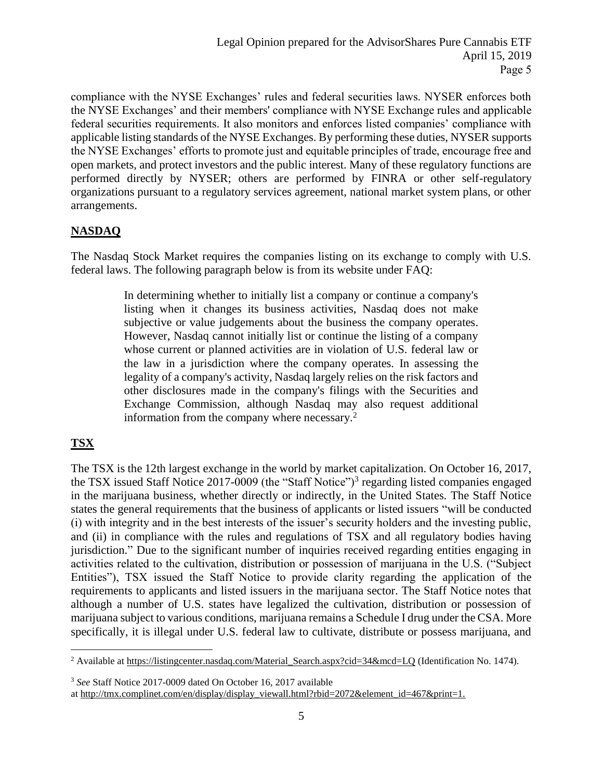compliance with the NYSE Exchanges' rules and federal securities laws. NYSER enforces both the NYSE Exchanges' and their members' compliance with NYSE Exchange rules and applicable federal securities requirements. It also monitors and enforces listed companies' compliance with applicable listing standards of the NYSE Exchanges. By performing these duties, NYSER supports the NYSE Exchanges' efforts to promote just and equitable principles of trade, encourage free and open markets, and protect investors and the public interest. Many of these regulatory functions are performed directly by NYSER; others are performed by FINRA or other self-regulatory organizations pursuant to a regulatory services agreement, national market system plans, or other arrangements.

# **NASDAQ**

The Nasdaq Stock Market requires the companies listing on its exchange to comply with U.S. federal laws. The following paragraph below is from its website under FAQ:

> In determining whether to initially list a company or continue a company's listing when it changes its business activities, Nasdaq does not make subjective or value judgements about the business the company operates. However, Nasdaq cannot initially list or continue the listing of a company whose current or planned activities are in violation of U.S. federal law or the law in a jurisdiction where the company operates. In assessing the legality of a company's activity, Nasdaq largely relies on the risk factors and other disclosures made in the company's filings with the Securities and Exchange Commission, although Nasdaq may also request additional information from the company where necessary.<sup>2</sup>

# **TSX**

The TSX is the 12th largest exchange in the world by market capitalization. On October 16, 2017, the TSX issued Staff Notice 2017-0009 (the "Staff Notice")<sup>3</sup> regarding listed companies engaged in the marijuana business, whether directly or indirectly, in the United States. The Staff Notice states the general requirements that the business of applicants or listed issuers "will be conducted (i) with integrity and in the best interests of the issuer's security holders and the investing public, and (ii) in compliance with the rules and regulations of TSX and all regulatory bodies having jurisdiction." Due to the significant number of inquiries received regarding entities engaging in activities related to the cultivation, distribution or possession of marijuana in the U.S. ("Subject Entities"), TSX issued the Staff Notice to provide clarity regarding the application of the requirements to applicants and listed issuers in the marijuana sector. The Staff Notice notes that although a number of U.S. states have legalized the cultivation, distribution or possession of marijuana subject to various conditions, marijuana remains a Schedule I drug under the CSA. More specifically, it is illegal under U.S. federal law to cultivate, distribute or possess marijuana, and

<sup>3</sup> *See* Staff Notice 2017-0009 dated On October 16, 2017 available

 $\overline{a}$ <sup>2</sup> Available at https://listingcenter.nasdaq.com/Material\_Search.aspx?cid=34&mcd=LQ (Identification No. 1474).

at http://tmx.complinet.com/en/display/display\_viewall.html?rbid=2072&element\_id=467&print=1.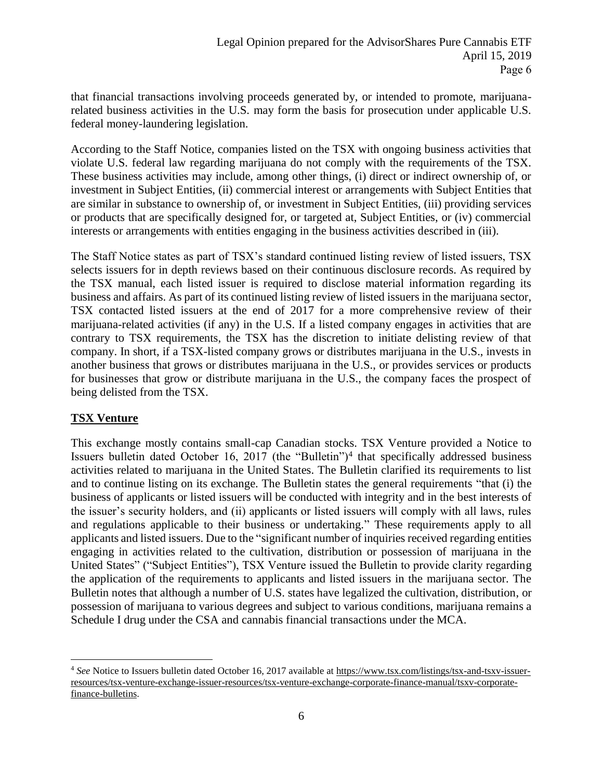that financial transactions involving proceeds generated by, or intended to promote, marijuanarelated business activities in the U.S. may form the basis for prosecution under applicable U.S. federal money-laundering legislation.

According to the Staff Notice, companies listed on the TSX with ongoing business activities that violate U.S. federal law regarding marijuana do not comply with the requirements of the TSX. These business activities may include, among other things, (i) direct or indirect ownership of, or investment in Subject Entities, (ii) commercial interest or arrangements with Subject Entities that are similar in substance to ownership of, or investment in Subject Entities, (iii) providing services or products that are specifically designed for, or targeted at, Subject Entities, or (iv) commercial interests or arrangements with entities engaging in the business activities described in (iii).

The Staff Notice states as part of TSX's standard continued listing review of listed issuers, TSX selects issuers for in depth reviews based on their continuous disclosure records. As required by the TSX manual, each listed issuer is required to disclose material information regarding its business and affairs. As part of its continued listing review of listed issuers in the marijuana sector, TSX contacted listed issuers at the end of 2017 for a more comprehensive review of their marijuana-related activities (if any) in the U.S. If a listed company engages in activities that are contrary to TSX requirements, the TSX has the discretion to initiate delisting review of that company. In short, if a TSX-listed company grows or distributes marijuana in the U.S., invests in another business that grows or distributes marijuana in the U.S., or provides services or products for businesses that grow or distribute marijuana in the U.S., the company faces the prospect of being delisted from the TSX.

## **TSX Venture**

 $\overline{a}$ 

This exchange mostly contains small-cap Canadian stocks. TSX Venture provided a Notice to Issuers bulletin dated October 16, 2017 (the "Bulletin")<sup>4</sup> that specifically addressed business activities related to marijuana in the United States. The Bulletin clarified its requirements to list and to continue listing on its exchange. The Bulletin states the general requirements "that (i) the business of applicants or listed issuers will be conducted with integrity and in the best interests of the issuer's security holders, and (ii) applicants or listed issuers will comply with all laws, rules and regulations applicable to their business or undertaking." These requirements apply to all applicants and listed issuers. Due to the "significant number of inquiries received regarding entities engaging in activities related to the cultivation, distribution or possession of marijuana in the United States" ("Subject Entities"), TSX Venture issued the Bulletin to provide clarity regarding the application of the requirements to applicants and listed issuers in the marijuana sector. The Bulletin notes that although a number of U.S. states have legalized the cultivation, distribution, or possession of marijuana to various degrees and subject to various conditions, marijuana remains a Schedule I drug under the CSA and cannabis financial transactions under the MCA.

<sup>4</sup> *See* Notice to Issuers bulletin dated October 16, 2017 available at https://www.tsx.com/listings/tsx-and-tsxv-issuerresources/tsx-venture-exchange-issuer-resources/tsx-venture-exchange-corporate-finance-manual/tsxv-corporatefinance-bulletins.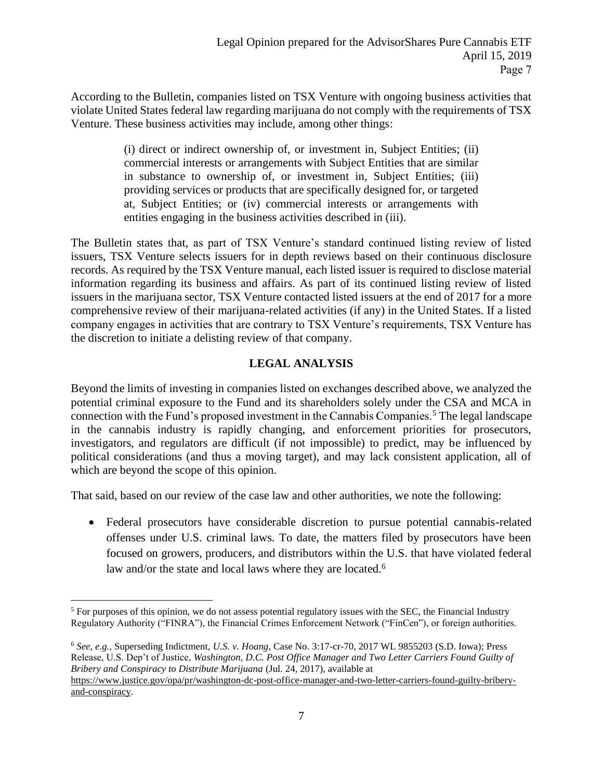According to the Bulletin, companies listed on TSX Venture with ongoing business activities that violate United States federal law regarding marijuana do not comply with the requirements of TSX Venture. These business activities may include, among other things:

> (i) direct or indirect ownership of, or investment in, Subject Entities; (ii) commercial interests or arrangements with Subject Entities that are similar in substance to ownership of, or investment in, Subject Entities; (iii) providing services or products that are specifically designed for, or targeted at, Subject Entities; or (iv) commercial interests or arrangements with entities engaging in the business activities described in (iii).

The Bulletin states that, as part of TSX Venture's standard continued listing review of listed issuers, TSX Venture selects issuers for in depth reviews based on their continuous disclosure records. As required by the TSX Venture manual, each listed issuer is required to disclose material information regarding its business and affairs. As part of its continued listing review of listed issuers in the marijuana sector, TSX Venture contacted listed issuers at the end of 2017 for a more comprehensive review of their marijuana-related activities (if any) in the United States. If a listed company engages in activities that are contrary to TSX Venture's requirements, TSX Venture has the discretion to initiate a delisting review of that company.

# **LEGAL ANALYSIS**

Beyond the limits of investing in companies listed on exchanges described above, we analyzed the potential criminal exposure to the Fund and its shareholders solely under the CSA and MCA in connection with the Fund's proposed investment in the Cannabis Companies.<sup>5</sup> The legal landscape in the cannabis industry is rapidly changing, and enforcement priorities for prosecutors, investigators, and regulators are difficult (if not impossible) to predict, may be influenced by political considerations (and thus a moving target), and may lack consistent application, all of which are beyond the scope of this opinion.

That said, based on our review of the case law and other authorities, we note the following:

 Federal prosecutors have considerable discretion to pursue potential cannabis-related offenses under U.S. criminal laws. To date, the matters filed by prosecutors have been focused on growers, producers, and distributors within the U.S. that have violated federal law and/or the state and local laws where they are located.<sup>6</sup>

<sup>6</sup> *See, e.g.,* Superseding Indictment, *U.S. v. Hoang*, Case No. 3:17-cr-70, 2017 WL 9855203 (S.D. Iowa); Press Release, U.S. Dep't of Justice, *Washington, D.C. Post Office Manager and Two Letter Carriers Found Guilty of Bribery and Conspiracy to Distribute Marijuana* (Jul. 24, 2017), available at https://www.justice.gov/opa/pr/washington-dc-post-office-manager-and-two-letter-carriers-found-guilty-briberyand-conspiracy.

 $\overline{a}$ <sup>5</sup> For purposes of this opinion, we do not assess potential regulatory issues with the SEC, the Financial Industry Regulatory Authority ("FINRA"), the Financial Crimes Enforcement Network ("FinCen"), or foreign authorities.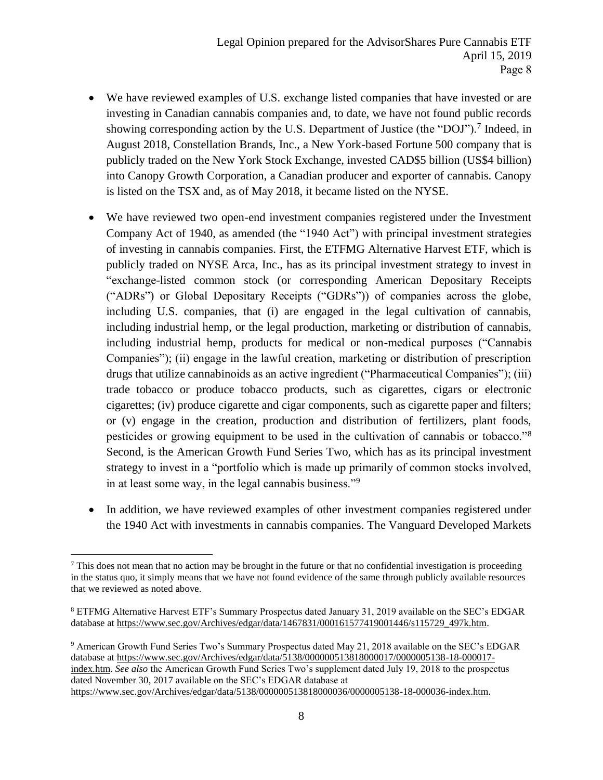- We have reviewed examples of U.S. exchange listed companies that have invested or are investing in Canadian cannabis companies and, to date, we have not found public records showing corresponding action by the U.S. Department of Justice (the "DOJ").<sup>7</sup> Indeed, in August 2018, Constellation Brands, Inc., a New York-based Fortune 500 company that is publicly traded on the New York Stock Exchange, invested CAD\$5 billion (US\$4 billion) into Canopy Growth Corporation, a Canadian producer and exporter of cannabis. Canopy is listed on the TSX and, as of May 2018, it became listed on the NYSE.
- We have reviewed two open-end investment companies registered under the Investment Company Act of 1940, as amended (the "1940 Act") with principal investment strategies of investing in cannabis companies. First, the ETFMG Alternative Harvest ETF, which is publicly traded on NYSE Arca, Inc., has as its principal investment strategy to invest in "exchange-listed common stock (or corresponding American Depositary Receipts ("ADRs") or Global Depositary Receipts ("GDRs")) of companies across the globe, including U.S. companies, that (i) are engaged in the legal cultivation of cannabis, including industrial hemp, or the legal production, marketing or distribution of cannabis, including industrial hemp, products for medical or non-medical purposes ("Cannabis Companies"); (ii) engage in the lawful creation, marketing or distribution of prescription drugs that utilize cannabinoids as an active ingredient ("Pharmaceutical Companies"); (iii) trade tobacco or produce tobacco products, such as cigarettes, cigars or electronic cigarettes; (iv) produce cigarette and cigar components, such as cigarette paper and filters; or (v) engage in the creation, production and distribution of fertilizers, plant foods, pesticides or growing equipment to be used in the cultivation of cannabis or tobacco."<sup>8</sup> Second, is the American Growth Fund Series Two, which has as its principal investment strategy to invest in a "portfolio which is made up primarily of common stocks involved, in at least some way, in the legal cannabis business."<sup>9</sup>
- In addition, we have reviewed examples of other investment companies registered under the 1940 Act with investments in cannabis companies. The Vanguard Developed Markets

<sup>7</sup> This does not mean that no action may be brought in the future or that no confidential investigation is proceeding in the status quo, it simply means that we have not found evidence of the same through publicly available resources that we reviewed as noted above.

<sup>8</sup> ETFMG Alternative Harvest ETF's Summary Prospectus dated January 31, 2019 available on the SEC's EDGAR database at https://www.sec.gov/Archives/edgar/data/1467831/000161577419001446/s115729\_497k.htm.

<sup>9</sup> American Growth Fund Series Two's Summary Prospectus dated May 21, 2018 available on the SEC's EDGAR database a[t https://www.sec.gov/Archives/edgar/data/5138/000000513818000017/0000005138-18-000017](https://www.sec.gov/Archives/edgar/data/5138/000000513818000017/0000005138-18-000017-index.htm) [index.htm.](https://www.sec.gov/Archives/edgar/data/5138/000000513818000017/0000005138-18-000017-index.htm) *See also* the American Growth Fund Series Two's supplement dated July 19, 2018 to the prospectus dated November 30, 2017 available on the SEC's EDGAR database at [https://www.sec.gov/Archives/edgar/data/5138/000000513818000036/0000005138-18-000036-index.htm.](https://www.sec.gov/Archives/edgar/data/5138/000000513818000036/0000005138-18-000036-index.htm)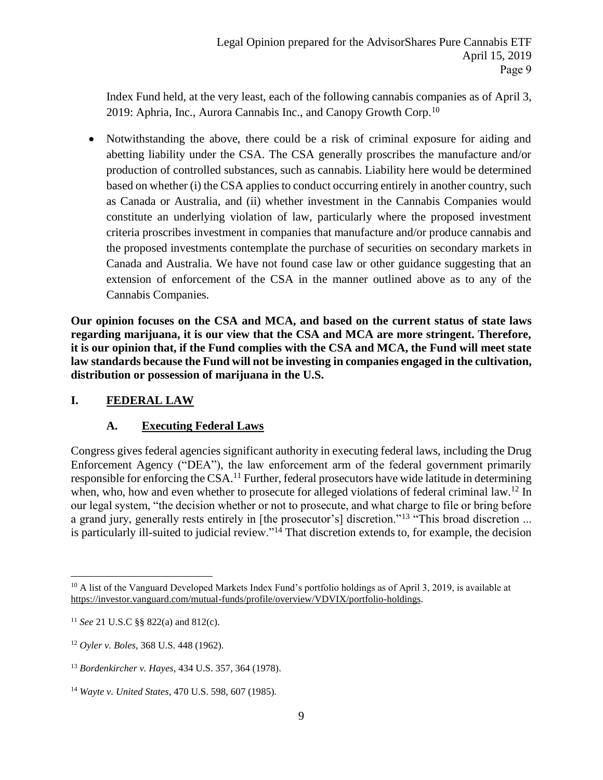Index Fund held, at the very least, each of the following cannabis companies as of April 3, 2019: Aphria, Inc., Aurora Cannabis Inc., and Canopy Growth Corp.<sup>10</sup>

 Notwithstanding the above, there could be a risk of criminal exposure for aiding and abetting liability under the CSA. The CSA generally proscribes the manufacture and/or production of controlled substances, such as cannabis. Liability here would be determined based on whether (i) the CSA applies to conduct occurring entirely in another country, such as Canada or Australia, and (ii) whether investment in the Cannabis Companies would constitute an underlying violation of law, particularly where the proposed investment criteria proscribes investment in companies that manufacture and/or produce cannabis and the proposed investments contemplate the purchase of securities on secondary markets in Canada and Australia. We have not found case law or other guidance suggesting that an extension of enforcement of the CSA in the manner outlined above as to any of the Cannabis Companies.

**Our opinion focuses on the CSA and MCA, and based on the current status of state laws regarding marijuana, it is our view that the CSA and MCA are more stringent. Therefore, it is our opinion that, if the Fund complies with the CSA and MCA, the Fund will meet state law standards because the Fund will not be investing in companies engaged in the cultivation, distribution or possession of marijuana in the U.S.**

# **I. FEDERAL LAW**

## **A. Executing Federal Laws**

Congress gives federal agencies significant authority in executing federal laws, including the Drug Enforcement Agency ("DEA"), the law enforcement arm of the federal government primarily responsible for enforcing the CSA.<sup>11</sup> Further, federal prosecutors have wide latitude in determining when, who, how and even whether to prosecute for alleged violations of federal criminal law.<sup>12</sup> In our legal system, "the decision whether or not to prosecute, and what charge to file or bring before a grand jury, generally rests entirely in [the prosecutor's] discretion."<sup>13</sup> "This broad discretion ... is particularly ill-suited to judicial review."<sup>14</sup> That discretion extends to, for example, the decision

<sup>&</sup>lt;sup>10</sup> A list of the Vanguard Developed Markets Index Fund's portfolio holdings as of April 3, 2019, is available at [https://investor.vanguard.com/mutual-funds/profile/overview/VDVIX/portfolio-holdings.](https://investor.vanguard.com/mutual-funds/profile/overview/VDVIX/portfolio-holdings)

<sup>11</sup> *See* 21 U.S.C §§ 822(a) and 812(c).

<sup>12</sup> *Oyler v. Boles,* 368 U.S. 448 (1962).

<sup>13</sup> *Bordenkircher v. Hayes*, 434 U.S. 357, 364 (1978).

<sup>14</sup> *Wayte v. United States*, 470 U.S. 598, 607 (1985).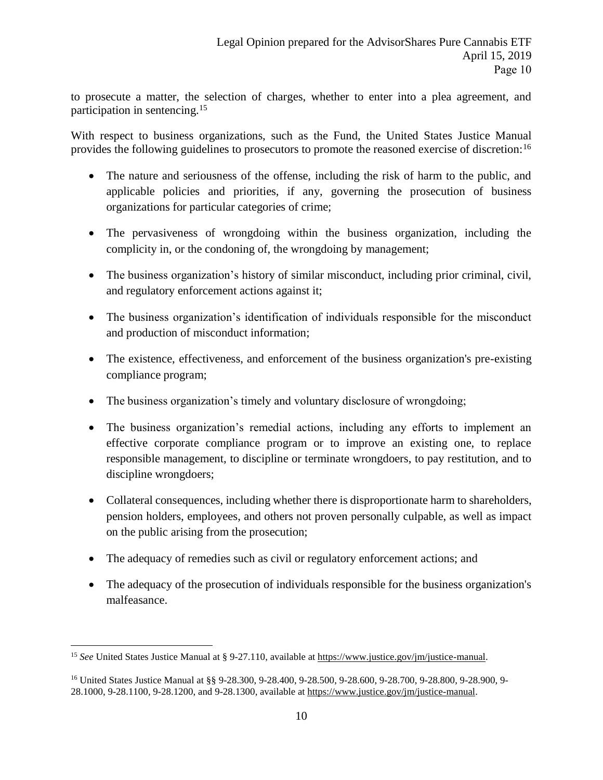to prosecute a matter, the selection of charges, whether to enter into a plea agreement, and participation in sentencing.<sup>15</sup>

With respect to business organizations, such as the Fund, the United States Justice Manual provides the following guidelines to prosecutors to promote the reasoned exercise of discretion:<sup>16</sup>

- The nature and seriousness of the offense, including the risk of harm to the public, and applicable policies and priorities, if any, governing the prosecution of business organizations for particular categories of crime;
- The pervasiveness of wrongdoing within the business organization, including the complicity in, or the condoning of, the wrongdoing by management;
- The business organization's history of similar misconduct, including prior criminal, civil, and regulatory enforcement actions against it;
- The business organization's identification of individuals responsible for the misconduct and production of misconduct information;
- The existence, effectiveness, and enforcement of the business organization's pre-existing compliance program;
- The business organization's timely and voluntary disclosure of wrongdoing;
- The business organization's remedial actions, including any efforts to implement an effective corporate compliance program or to improve an existing one, to replace responsible management, to discipline or terminate wrongdoers, to pay restitution, and to discipline wrongdoers;
- Collateral consequences, including whether there is disproportionate harm to shareholders, pension holders, employees, and others not proven personally culpable, as well as impact on the public arising from the prosecution;
- The adequacy of remedies such as civil or regulatory enforcement actions; and
- The adequacy of the prosecution of individuals responsible for the business organization's malfeasance.

<sup>15</sup> *See* United States Justice Manual at § 9-27.110, available at https://www.justice.gov/jm/justice-manual.

<sup>16</sup> United States Justice Manual at §§ 9-28.300, 9-28.400, 9-28.500, 9-28.600, 9-28.700, 9-28.800, 9-28.900, 9- 28.1000, 9-28.1100, 9-28.1200, and 9-28.1300, available at [https://www.justice.gov/jm/justice-manual.](https://www.justice.gov/jm/justice-manual)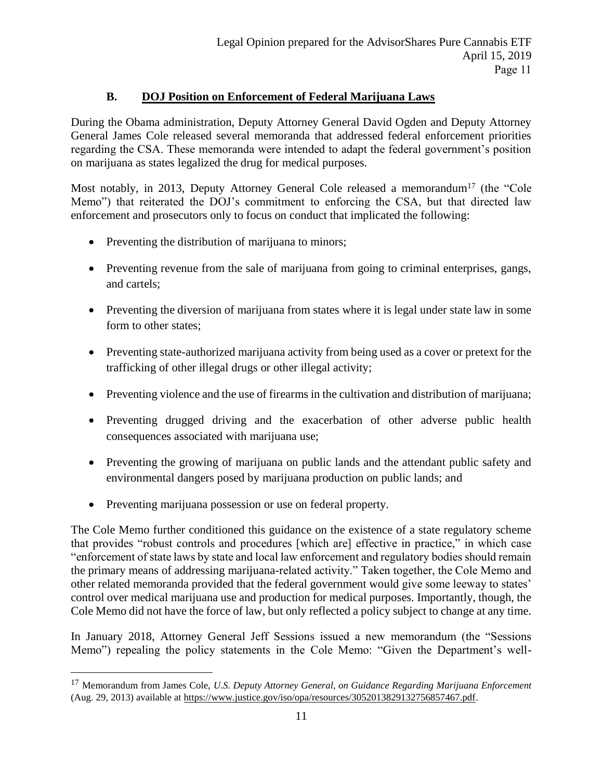# **B. DOJ Position on Enforcement of Federal Marijuana Laws**

During the Obama administration, Deputy Attorney General David Ogden and Deputy Attorney General James Cole released several memoranda that addressed federal enforcement priorities regarding the CSA. These memoranda were intended to adapt the federal government's position on marijuana as states legalized the drug for medical purposes.

Most notably, in 2013, Deputy Attorney General Cole released a memorandum<sup>17</sup> (the "Cole Memo") that reiterated the DOJ's commitment to enforcing the CSA, but that directed law enforcement and prosecutors only to focus on conduct that implicated the following:

- Preventing the distribution of marijuana to minors;
- Preventing revenue from the sale of marijuana from going to criminal enterprises, gangs, and cartels;
- Preventing the diversion of marijuana from states where it is legal under state law in some form to other states;
- Preventing state-authorized marijuana activity from being used as a cover or pretext for the trafficking of other illegal drugs or other illegal activity;
- Preventing violence and the use of firearms in the cultivation and distribution of marijuana;
- Preventing drugged driving and the exacerbation of other adverse public health consequences associated with marijuana use;
- Preventing the growing of marijuana on public lands and the attendant public safety and environmental dangers posed by marijuana production on public lands; and
- Preventing marijuana possession or use on federal property.

 $\overline{a}$ 

The Cole Memo further conditioned this guidance on the existence of a state regulatory scheme that provides "robust controls and procedures [which are] effective in practice," in which case "enforcement of state laws by state and local law enforcement and regulatory bodies should remain the primary means of addressing marijuana-related activity." Taken together, the Cole Memo and other related memoranda provided that the federal government would give some leeway to states' control over medical marijuana use and production for medical purposes. Importantly, though, the Cole Memo did not have the force of law, but only reflected a policy subject to change at any time.

In January 2018, Attorney General Jeff Sessions issued a new memorandum (the "Sessions Memo") repealing the policy statements in the Cole Memo: "Given the Department's well-

<sup>17</sup> Memorandum from James Cole, *U.S. Deputy Attorney General, on Guidance Regarding Marijuana Enforcement* (Aug. 29, 2013) available a[t https://www.justice.gov/iso/opa/resources/3052013829132756857467.pdf.](https://www.justice.gov/iso/opa/resources/3052013829132756857467.pdf)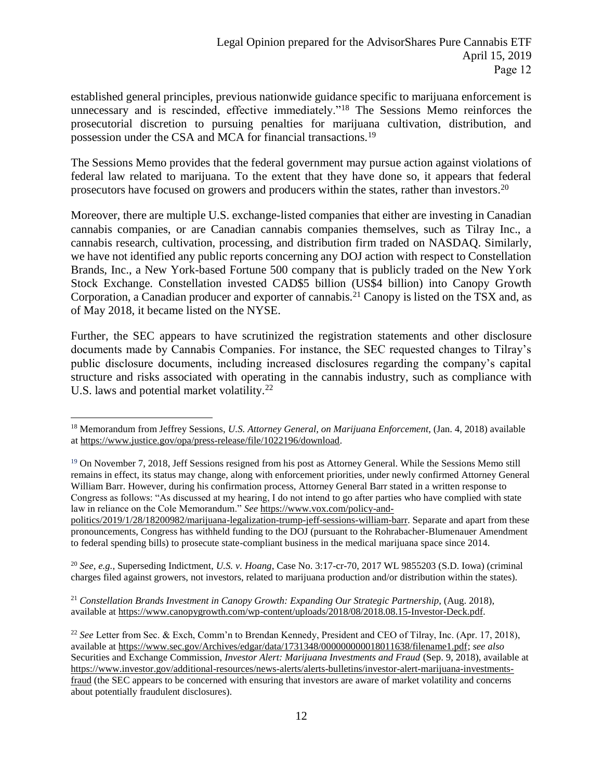established general principles, previous nationwide guidance specific to marijuana enforcement is unnecessary and is rescinded, effective immediately."<sup>18</sup> The Sessions Memo reinforces the prosecutorial discretion to pursuing penalties for marijuana cultivation, distribution, and possession under the CSA and MCA for financial transactions.<sup>19</sup>

The Sessions Memo provides that the federal government may pursue action against violations of federal law related to marijuana. To the extent that they have done so, it appears that federal prosecutors have focused on growers and producers within the states, rather than investors.<sup>20</sup>

Moreover, there are multiple U.S. exchange-listed companies that either are investing in Canadian cannabis companies, or are Canadian cannabis companies themselves, such as Tilray Inc., a cannabis research, cultivation, processing, and distribution firm traded on NASDAQ. Similarly, we have not identified any public reports concerning any DOJ action with respect to Constellation Brands, Inc., a New York-based Fortune 500 company that is publicly traded on the New York Stock Exchange. Constellation invested CAD\$5 billion (US\$4 billion) into Canopy Growth Corporation, a Canadian producer and exporter of cannabis.<sup>21</sup> Canopy is listed on the TSX and, as of May 2018, it became listed on the NYSE.

Further, the SEC appears to have scrutinized the registration statements and other disclosure documents made by Cannabis Companies. For instance, the SEC requested changes to Tilray's public disclosure documents, including increased disclosures regarding the company's capital structure and risks associated with operating in the cannabis industry, such as compliance with U.S. laws and potential market volatility.<sup>22</sup>

<sup>20</sup> *See, e.g.,* Superseding Indictment, *U.S. v. Hoang*, Case No. 3:17-cr-70, 2017 WL 9855203 (S.D. Iowa) (criminal charges filed against growers, not investors, related to marijuana production and/or distribution within the states).

<sup>21</sup> *Constellation Brands Investment in Canopy Growth: Expanding Our Strategic Partnership*, (Aug. 2018), available at https://www.canopygrowth.com/wp-content/uploads/2018/08/2018.08.15-Investor-Deck.pdf.

 $\overline{a}$ <sup>18</sup> Memorandum from Jeffrey Sessions, *U.S. Attorney General, on Marijuana Enforcement*, (Jan. 4, 2018) available at https://www.justice.gov/opa/press-release/file/1022196/download.

<sup>&</sup>lt;sup>19</sup> On November 7, 2018, Jeff Sessions resigned from his post as Attorney General. While the Sessions Memo still remains in effect, its status may change, along with enforcement priorities, under newly confirmed Attorney General William Barr. However, during his confirmation process, Attorney General Barr stated in a written response to Congress as follows: "As discussed at my hearing, I do not intend to go after parties who have complied with state law in reliance on the Cole Memorandum." *See* https://www.vox.com/policy-and-

politics/2019/1/28/18200982/marijuana-legalization-trump-jeff-sessions-william-barr. Separate and apart from these pronouncements, Congress has withheld funding to the DOJ (pursuant to the Rohrabacher-Blumenauer Amendment to federal spending bills) to prosecute state-compliant business in the medical marijuana space since 2014.

<sup>22</sup> *See* Letter from Sec. & Exch, Comm'n to Brendan Kennedy, President and CEO of Tilray, Inc. (Apr. 17, 2018), available at https://www.sec.gov/Archives/edgar/data/1731348/000000000018011638/filename1.pdf; *see also*  Securities and Exchange Commission, *Investor Alert: Marijuana Investments and Fraud* (Sep. 9, 2018), available at https://www.investor.gov/additional-resources/news-alerts/alerts-bulletins/investor-alert-marijuana-investmentsfraud (the SEC appears to be concerned with ensuring that investors are aware of market volatility and concerns about potentially fraudulent disclosures).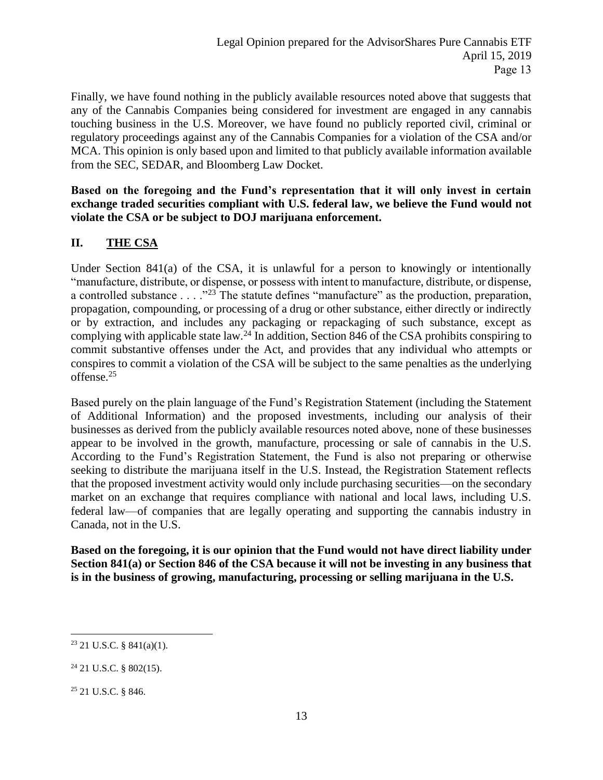Finally, we have found nothing in the publicly available resources noted above that suggests that any of the Cannabis Companies being considered for investment are engaged in any cannabis touching business in the U.S. Moreover, we have found no publicly reported civil, criminal or regulatory proceedings against any of the Cannabis Companies for a violation of the CSA and/or MCA. This opinion is only based upon and limited to that publicly available information available from the SEC, SEDAR, and Bloomberg Law Docket.

**Based on the foregoing and the Fund's representation that it will only invest in certain exchange traded securities compliant with U.S. federal law, we believe the Fund would not violate the CSA or be subject to DOJ marijuana enforcement.**

# **II. THE CSA**

Under Section 841(a) of the CSA, it is unlawful for a person to knowingly or intentionally "manufacture, distribute, or dispense, or possess with intent to manufacture, distribute, or dispense, a controlled substance . . . .<sup>"23</sup> The statute defines "manufacture" as the production, preparation, propagation, compounding, or processing of a drug or other substance, either directly or indirectly or by extraction, and includes any packaging or repackaging of such substance, except as complying with applicable state law.<sup>24</sup> In addition, Section 846 of the CSA prohibits conspiring to commit substantive offenses under the Act, and provides that any individual who attempts or conspires to commit a violation of the CSA will be subject to the same penalties as the underlying offense.<sup>25</sup>

Based purely on the plain language of the Fund's Registration Statement (including the Statement of Additional Information) and the proposed investments, including our analysis of their businesses as derived from the publicly available resources noted above, none of these businesses appear to be involved in the growth, manufacture, processing or sale of cannabis in the U.S. According to the Fund's Registration Statement, the Fund is also not preparing or otherwise seeking to distribute the marijuana itself in the U.S. Instead, the Registration Statement reflects that the proposed investment activity would only include purchasing securities—on the secondary market on an exchange that requires compliance with national and local laws, including U.S. federal law—of companies that are legally operating and supporting the cannabis industry in Canada, not in the U.S.

**Based on the foregoing, it is our opinion that the Fund would not have direct liability under Section 841(a) or Section 846 of the CSA because it will not be investing in any business that is in the business of growing, manufacturing, processing or selling marijuana in the U.S.**

 $\overline{a}$  $23$  21 U.S.C. § 841(a)(1).

 $24$  21 U.S.C. § 802(15).

<sup>25</sup> 21 U.S.C. § 846.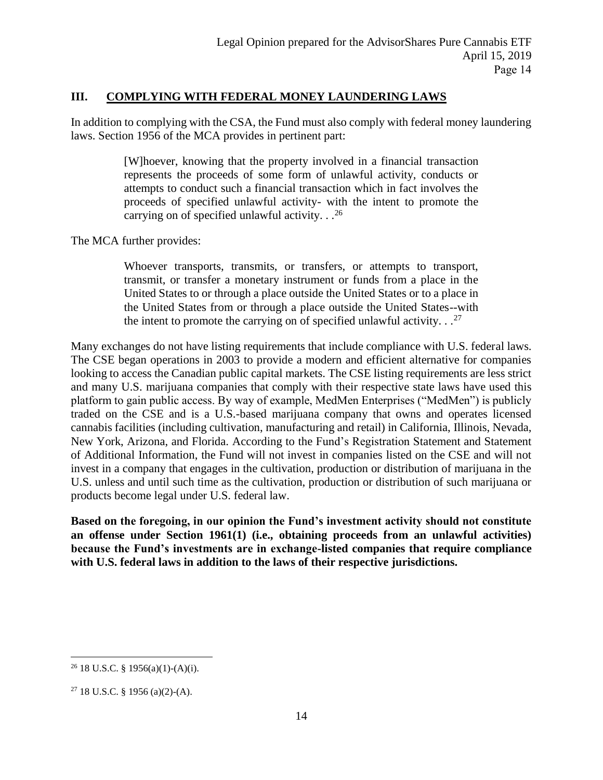## **III. COMPLYING WITH FEDERAL MONEY LAUNDERING LAWS**

In addition to complying with the CSA, the Fund must also comply with federal money laundering laws. Section 1956 of the MCA provides in pertinent part:

> [W]hoever, knowing that the property involved in a financial transaction represents the proceeds of some form of unlawful activity, conducts or attempts to conduct such a financial transaction which in fact involves the proceeds of specified unlawful activity- with the intent to promote the carrying on of specified unlawful activity.  $\cdot$ . <sup>26</sup>

The MCA further provides:

Whoever transports, transmits, or transfers, or attempts to transport, transmit, or transfer a monetary instrument or funds from a place in the United States to or through a place outside the United States or to a place in the United States from or through a place outside the United States--with the intent to promote the carrying on of specified unlawful activity.  $\cdot$ .<sup>27</sup>

Many exchanges do not have listing requirements that include compliance with U.S. federal laws. The CSE began operations in 2003 to provide a modern and efficient alternative for companies looking to access the Canadian public capital markets. The CSE listing requirements are less strict and many U.S. marijuana companies that comply with their respective state laws have used this platform to gain public access. By way of example, MedMen Enterprises ("MedMen") is publicly traded on the CSE and is a U.S.-based marijuana company that owns and operates licensed cannabis facilities (including cultivation, manufacturing and retail) in California, Illinois, Nevada, New York, Arizona, and Florida. According to the Fund's Registration Statement and Statement of Additional Information, the Fund will not invest in companies listed on the CSE and will not invest in a company that engages in the cultivation, production or distribution of marijuana in the U.S. unless and until such time as the cultivation, production or distribution of such marijuana or products become legal under U.S. federal law.

**Based on the foregoing, in our opinion the Fund's investment activity should not constitute an offense under Section 1961(1) (i.e., obtaining proceeds from an unlawful activities) because the Fund's investments are in exchange-listed companies that require compliance with U.S. federal laws in addition to the laws of their respective jurisdictions.**

 $26$  18 U.S.C. § 1956(a)(1)-(A)(i).

 $27$  18 U.S.C. § 1956 (a)(2)-(A).